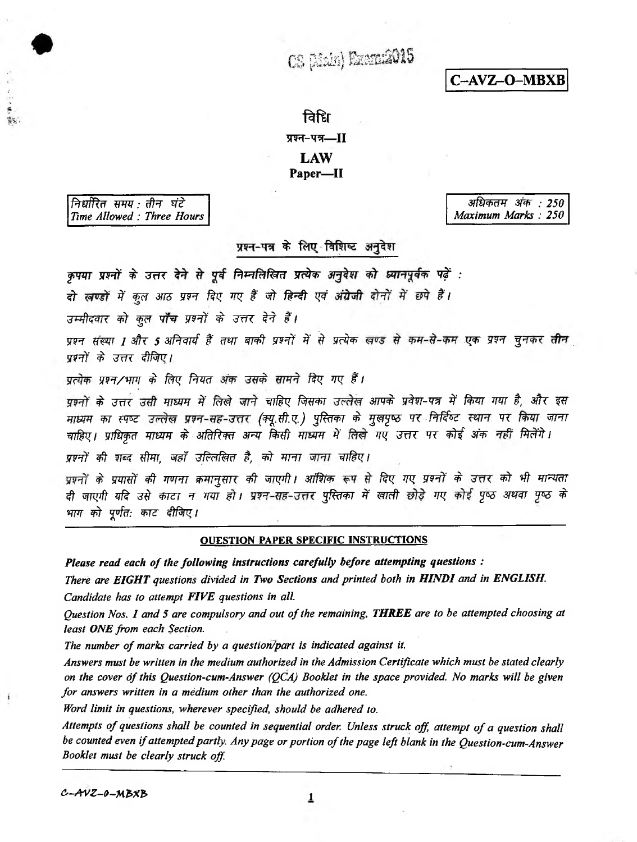CS (Main) Emmer2015

C-AVZ-O-MBXB

# विधि प्रश्न-पत्र-II **LAW** Paper-II

निर्धारित समय : तीन घंटे Time Allowed: Three Hours

\$3.

अधिकतम अंक : 250 Maximum Marks: 250

## प्रश्न-पत्र के लिए विशिष्ट अनुदेश

कृपया प्रश्नों के उत्तर देने से पूर्व निम्नलिखित प्रत्येक अनुदेश को ध्यानपूर्वक पढ़ें :

दो खण्डों में कुल आठ प्रश्न दिए गए हैं जो हिन्दी एवं अंग्रेजी दोनों में छपे हैं।

उम्मीदवार को कुल पाँच प्रश्नों के उत्तर देने हैं।

प्रश्न संख्या 1 और 5 अनिवार्य हैं तथा बाकी प्रश्नों में से प्रत्येक खण्ड से कम-से-कम एक प्रश्न चुनकर तीन प्रश्नों के उत्तर दीजिए।

प्रत्येक प्रश्न/भाग के लिए नियत अंक उसके सामने दिए गए हैं।

प्रश्नों के उत्तर उसी माध्यम में लिखे जाने चाहिए जिसका उल्लेख आपके प्रवेश-पत्र में किया गया है, और इस माध्यम का स्पष्ट उल्लेख प्रश्न-सह-उत्तर (क्यू.सी.ए.) पुस्तिका के मुखपृष्ठ पर निर्दिष्ट स्थान पर किया जाना चाहिए। प्राधिकृत माध्यम के अतिरिक्त अन्य किसी माध्यम में लिखे गए उत्तर पर कोई अंक नहीं मिलेंगे।

प्रश्नों की शब्द सीमा, जहाँ उल्लिखित है, को माना जाना चाहिए।

प्रश्नों के प्रयासों की गणना क्रमानुसार की जाएगी। आंशिक रूप से दिए गए प्रश्नों के उत्तर को भी मान्यता दी जाएगी यदि उसे काटा न गया हो। प्रश्न-सह-उत्तर पुस्तिका में खाली छोड़े गए कोई पृष्ठ अथवा पृष्ठ के भाग को पूर्णत: काट दीजिए।

### **OUESTION PAPER SPECIFIC INSTRUCTIONS**

Please read each of the following instructions carefully before attempting questions :

There are EIGHT questions divided in Two Sections and printed both in HINDI and in ENGLISH.

Candidate has to attempt FIVE questions in all.

Question Nos. 1 and 5 are compulsory and out of the remaining, THREE are to be attempted choosing at least ONE from each Section.

The number of marks carried by a question/part is indicated against it.

Answers must be written in the medium authorized in the Admission Certificate which must be stated clearly on the cover of this Question-cum-Answer (QCA) Booklet in the space provided. No marks will be given for answers written in a medium other than the authorized one.

Word limit in questions, wherever specified, should be adhered to.

Attempts of questions shall be counted in sequential order. Unless struck off, attempt of a question shall be counted even if attempted partly. Any page or portion of the page left blank in the Question-cum-Answer Booklet must be clearly struck off.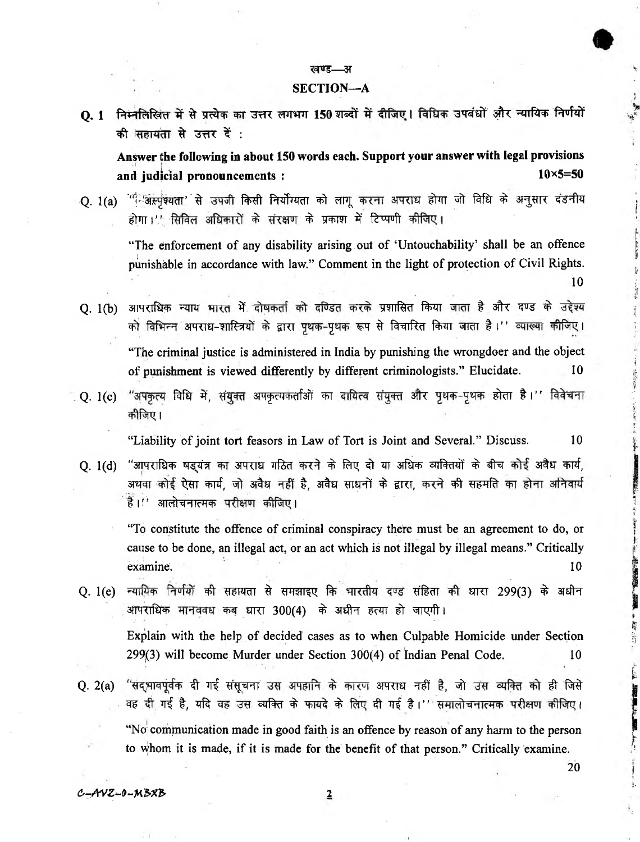### रनण्ड—अ

### **SECTION—A**

**Q. 1 निम्नलिखित में से प्रत्येक का उत्तर लगभग 150 शब्दों में दीजिए। विधिक उपबंधों और न्यायिक निर्णयों** की सहायता से उत्तर दें :

**Answer the following in about 150 words each. Support your answer with legal provisions and judicial pronouncements : 10x5=50**

Q. 1(a) <sup>vet: अस्पृश्यता' से उपजी किसी निर्योग्यता को लागू करना अपराध होगा जो विधि के अनुसार दंडनीय</sup> होगा।'' सिविल अधिकारों के संरक्षण के प्रकाश में टिप्पणी कीजिए।

"The enforcement of any disability arising out of 'Untouchability' shall be an offence punishable in accordance with law." Comment in the light of protection of Civil Rights. 10

Q. 1(b) आपराधिक न्याय भारत में दोषकर्ता को दण्डित करके प्रशासित किया जाता है और दण्ड के उद्देश्य को विभिन्न अपराध-शास्त्रियों के द्वारा पृथक-पृथक रूप से विचारित किया जाता है।'' व्याख्या कीजिए। "The criminal justice is administered in India by punishing the wrongdoer and the object of punishment is viewed differently by different criminologists." Elucidate.

् Q. 1(c) "अपकृत्य विधि में, संयुक्त अपकृत्यकर्ताओं का दायित्व संयुक्त और पृथक-पृथक होता है।'' विवेचना कीजिए।

"Liability of joint tort feasors in Law of Tort is Joint and Several." Discuss. 10

Q. 1(d) "आपराधिक षड्यंत्र का अपराध गठित करने के लिए दो या अधिक व्यक्तियों के बीच कोई अवैध कार्य, अथवा कोई ऐसा कार्य, जो अवैध नहीं है, अवैध साधनों के द्वारा, करने की सहमति का होना अनिवार्य है।'' आलोचनात्मक परीक्षण कीजिए।

"To constitute the offence of criminal conspiracy there must be an agreement to do, or cause to be done, an illegal act, or an act which is not illegal by illegal means." Critically examine. 10

- Q. 1(e) न्यायिक निर्णयों की सहायता से समझाइए कि भारतीय दण्ड संहिता की धारा 299(3) के अधीन आपराधिक मानववध कब धारा 300(4) के अधीन हत्या हो जाएगी। Explain with the help of decided cases as to when Culpable Homicide under Section 299(3) will become Murder under Section 300(4) of Indian Penal Code. 10
- Q. 2(a) "संद्<sub>री</sub>मावपूर्वक दी गई संसूचना उस अपहानि के कारण अपराध नहीं है, जो उस व्यक्ति को ही जिसे वह दी गई है, यदि वह उस व्यक्ति के फायदे के लिए दी गई है।'' समालोचनात्मक परीक्षण कीजिए। "No communication made in good faith is an offence by reason of any harm to the person to whom it is made, if it is made for the benefit of that person." Critically examine.

 $c$ -AVZ-0-MBXB 2

20

THE R. P. LEWIS CO., LANSING MICH.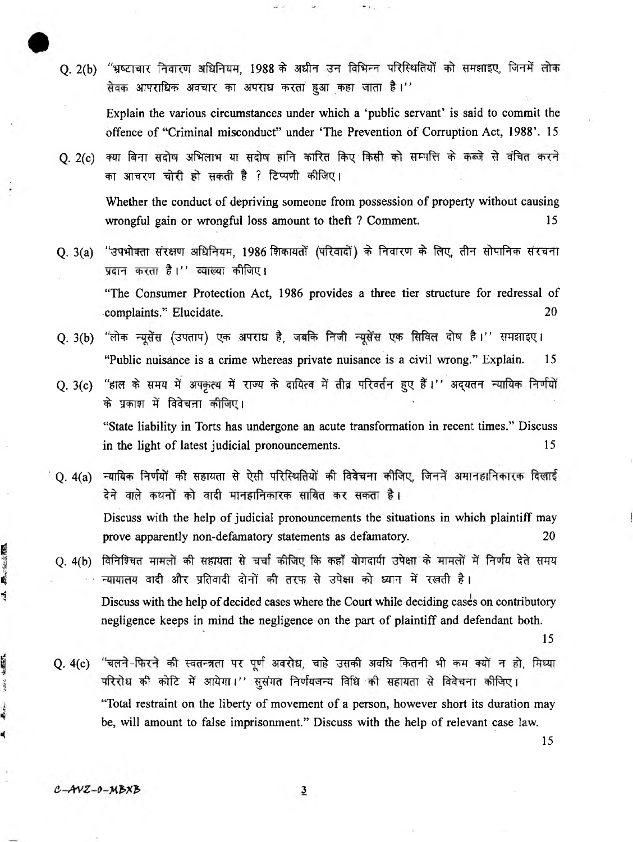O. 2(b) "भ्रष्टाचार निवारण अधिनियम, 1988 के अधीन उन विभिन्न परिस्थितियों को समझाइए, जिनमें लोक सेवक आपराधिक अवचार का अपराध करता हुआ कहा जाता है।''

Explain the various circumstances under which a 'public servant' is said to commit the offence of "Criminal misconduct" under 'The Prevention of Corruption Act, 1988'. 15

Q. 2(c) क्या बिना सदोष अभिलाभ या सदोष हानि कारित किए किसी को सम्पत्ति के कब्जे से वंचित करने का आचरण चोरी हो सकती है ? टिप्पणी कीजिए।

Whether the conduct of depriving someone from possession of property without causing wrongful gain or wrongful loss amount to theft ? Comment. 15

Q, 3(a) "उपभोक्ता संरक्षण अधिनियम, 1986 शिकायतों (परिवादों) के निवारण के लिए, तीन सोपानिक संरचना प्रदान करता है।'' व्याख्या कीजिए।

"The Consumer Protection Act, 1986 provides a three tier structure for redressal of complaints." Elucidate. 20

- <span id="page-2-0"></span>Q. 3(b) "लोक न्यूसेंस (उपताप) एक अपराध है, जबकि निजी न्यूसेंस एक सिविल दोष है।'' समझाइए। "Public nuisance is a crime whereas private nuisance is a civil wrong." Explain. 15
- Q. 3(c) "हाल के समय में अपकृत्य में राज्य के दायित्व में तीव्र परिवर्तन हुए हैं।'' अद्यतन न्यायिक निर्णयों के प्रकाश में विवेचना <del>कीजि</del>ए।

"State liability in Torts has undergone an acute transformation in recent times." Discuss in the light of latest judicial pronouncements. 15

- Q. 4(a) न्यायिक निर्णयों की सहायता से ऐसी परिस्थितियों की विवेचना कीजिए, जिनमें अमानहानिकारक दिखाई देने वाले कथनों को वादी मानहानिकारक साबित कर सकता है। Discuss with the help of judicial pronouncements the situations in which plaintiff may prove apparently non-defamatory statements as defamatory. 20
- O. 4(b) विनिश्चित मामलों की सहायता से चर्चा कीजिए कि कहाँ योगदायी उपेक्षा के मामलों में निर्णय देते समय न्यायालय वादी और प्रतिवादी दोनों की तरफ से उपेक्षा को ध्यान में रखती है। Discuss with the help of decided cases where the Court while deciding cases on contributory negligence keeps in mind the negligence on the part of plaintiff and defendant both.

15

Q. 4(c) <sup>"</sup>चलने-फिरने की स्वतन्त्रता पर पूर्ण अवरोध, चाहे उसकी अवधि कितनी भी कम क्यों न हो, मिथ्या परिरोध की कोटि में आयेगा।'' सुसंगत निर्णयजन्य विधि की सहायता से विवेचना कीजिए। "Total restraint on the liberty of movement of a person, however short its duration may be, will amount to false imprisonment." Discuss with the help of relevant case law.

15

おうし ない

4

4-47-57

Æ.t.

ź

3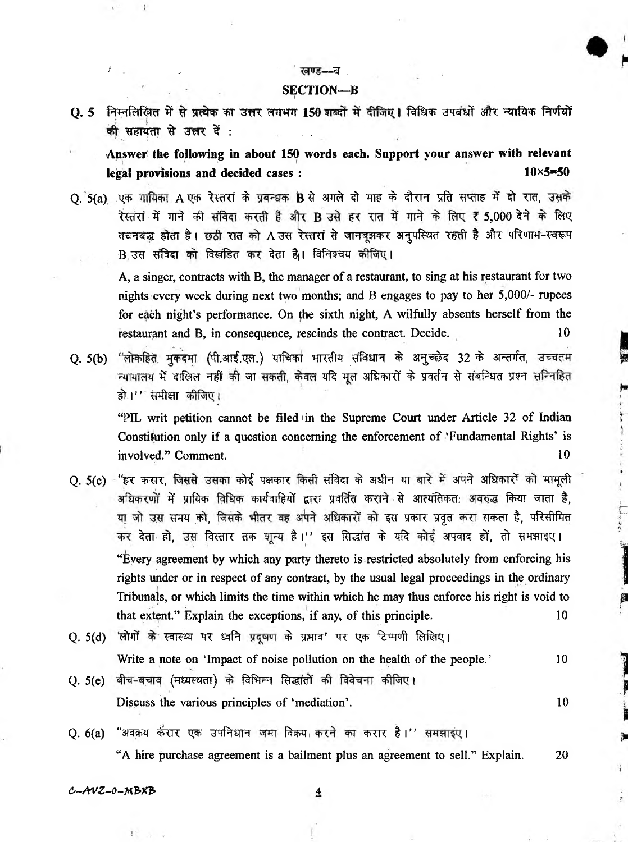#### *<i><u>avs—a</u>*

 $\mathfrak{t}$ 

#### **SECTION—B**

Q. 5 निम्नलिखित में से प्रत्येक का उत्तर लगभग 150 शब्दों में दीजिए। विधिक उपबंधों और न्यायिक निर्णयों की सहायता से उत्तर दें :

**Answer the following in about 150 words each. Support your answer with relevant legal provisions and decided cases :** 10x5=50

Q. 5(a) एक गायिका A एक रेस्तरां के प्रबन्धक B से अगले दो माह के दौरान प्रति सप्ताह में दो रात, उसके रेस्तरां में गाने की संविदा करती है और B उसे हर रात में गाने के लिए ₹ 5,000 देने के लिए वचनबद्ध होता है। छठी रात को A उस रेस्तरां से जानबूझकर अनुपस्थित रहती है और परिणाम-स्वरूप B उस संविदा को विलंडित कर देता है। विनिश्चय कीजिए।

A, a singer, contracts with B, the manager of a restaurant, to sing at his restaurant for two nights every week during next two months; and B engages to pay to her 5,000/- rupees for each night's performance. On the sixth night, A wilfully absents herself from the restaurant and B, in consequence, rescinds the contract. Decide. 10

Q. 5(b) "लोकहित मुकदमा (पी.आई.एल.) याचिका भारतीय संविधान के अनुच्छेद 32 के अन्तर्गत, उच्चतम न्यायालय में दाखिल नहीं की जा सकती, केवल यदि मूल अधिकारों के प्रवर्तन से संबन्धित प्रश्न सन्निहित हो।'' संमीक्षा कीजिए।

"PIL writ petition cannot be filed' in the Supreme Court under Article 32 of Indian Constitution only if a question concerning the enforcement of 'Fundamental Rights' is involved." Comment. 10

- Q. 5(c) "हर करार, जिससे उसका कोई पक्षकार किसी संविदा के अधीन या बारे में अपने अधिकारों को मामूली अधिकरणों में प्रायिक विधिक कार्यवाहियों द्वारा प्रवर्तित कराने से आत्यंतिकत: अवरुद्ध किया जाता है, या जो उस समय को, जिसके भीतर वह अपने अधिकारों को इस प्रकार प्रवृत करा सकता है, परिसीमित कर देता हो, उस विस्तार तक शून्य है।'' इस सिद्धांत के यदि कोई अपवाद हों, तो समझाइए। "Every agreement by which any party thereto is.restricted absolutely from enforcing his rights under or in respect of any contract, by the usual legal proceedings in the ordinary Tribunals, or which limits the time within which he may thus enforce his right is void to that extent." Explain the exceptions, if any, of this principle. 10
- Q. 5(d) 'लोगों के स्वास्थ्य पर ध्वनि प्रदूषण के प्रभाव' पर एक टिप्पणी लिखिए। Write a note on 'Impact of noise pollution on the health of the people.' 10
- i Q. 5(e) बीच-बचाव (मध्यस्थता) के विभिन्न सिद्धांतों की विवेचना कीजिए। Discuss the various principles of 'mediation'. 10
- <span id="page-3-0"></span>Q. 6(a) "अवक्रय कॅरार एक उपनिधान जमा विक्रय करने का करार है।'' समझाइए। "A hire purchase agreement is a bailment plus an agreement to sell." Explain. 20

*e,~AVZ-&~ MbXh 4*

11 .